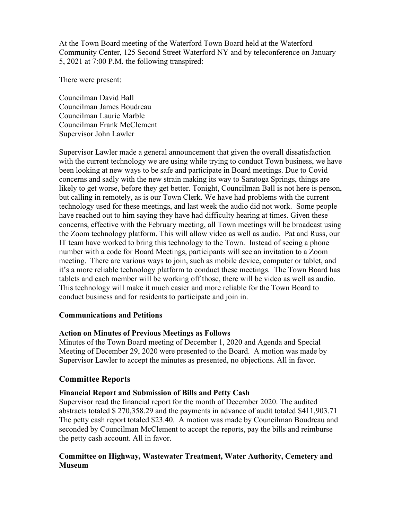At the Town Board meeting of the Waterford Town Board held at the Waterford Community Center, 125 Second Street Waterford NY and by teleconference on January 5, 2021 at 7:00 P.M. the following transpired:

There were present:

Councilman David Ball Councilman James Boudreau Councilman Laurie Marble Councilman Frank McClement Supervisor John Lawler

Supervisor Lawler made a general announcement that given the overall dissatisfaction with the current technology we are using while trying to conduct Town business, we have been looking at new ways to be safe and participate in Board meetings. Due to Covid concerns and sadly with the new strain making its way to Saratoga Springs, things are likely to get worse, before they get better. Tonight, Councilman Ball is not here is person, but calling in remotely, as is our Town Clerk. We have had problems with the current technology used for these meetings, and last week the audio did not work. Some people have reached out to him saying they have had difficulty hearing at times. Given these concerns, effective with the February meeting, all Town meetings will be broadcast using the Zoom technology platform. This will allow video as well as audio. Pat and Russ, our IT team have worked to bring this technology to the Town. Instead of seeing a phone number with a code for Board Meetings, participants will see an invitation to a Zoom meeting. There are various ways to join, such as mobile device, computer or tablet, and it's a more reliable technology platform to conduct these meetings. The Town Board has tablets and each member will be working off those, there will be video as well as audio. This technology will make it much easier and more reliable for the Town Board to conduct business and for residents to participate and join in.

## **Communications and Petitions**

## **Action on Minutes of Previous Meetings as Follows**

Minutes of the Town Board meeting of December 1, 2020 and Agenda and Special Meeting of December 29, 2020 were presented to the Board. A motion was made by Supervisor Lawler to accept the minutes as presented, no objections. All in favor.

## **Committee Reports**

## **Financial Report and Submission of Bills and Petty Cash**

Supervisor read the financial report for the month of December 2020. The audited abstracts totaled \$ 270,358.29 and the payments in advance of audit totaled \$411,903.71 The petty cash report totaled \$23.40. A motion was made by Councilman Boudreau and seconded by Councilman McClement to accept the reports, pay the bills and reimburse the petty cash account. All in favor.

## **Committee on Highway, Wastewater Treatment, Water Authority, Cemetery and Museum**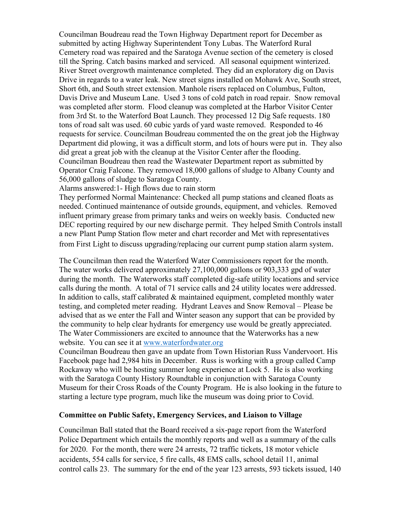Councilman Boudreau read the Town Highway Department report for December as submitted by acting Highway Superintendent Tony Lubas. The Waterford Rural Cemetery road was repaired and the Saratoga Avenue section of the cemetery is closed till the Spring. Catch basins marked and serviced. All seasonal equipment winterized. River Street overgrowth maintenance completed. They did an exploratory dig on Davis Drive in regards to a water leak. New street signs installed on Mohawk Ave, South street, Short 6th, and South street extension. Manhole risers replaced on Columbus, Fulton, Davis Drive and Museum Lane. Used 3 tons of cold patch in road repair. Snow removal was completed after storm. Flood cleanup was completed at the Harbor Visitor Center from 3rd St. to the Waterford Boat Launch. They processed 12 Dig Safe requests. 180 tons of road salt was used. 60 cubic yards of yard waste removed. Responded to 46 requests for service. Councilman Boudreau commented the on the great job the Highway Department did plowing, it was a difficult storm, and lots of hours were put in. They also did great a great job with the cleanup at the Visitor Center after the flooding. Councilman Boudreau then read the Wastewater Department report as submitted by Operator Craig Falcone. They removed 18,000 gallons of sludge to Albany County and 56,000 gallons of sludge to Saratoga County.

Alarms answered:1- High flows due to rain storm

They performed Normal Maintenance: Checked all pump stations and cleaned floats as needed. Continued maintenance of outside grounds, equipment, and vehicles. Removed influent primary grease from primary tanks and weirs on weekly basis. Conducted new DEC reporting required by our new discharge permit. They helped Smith Controls install a new Plant Pump Station flow meter and chart recorder and Met with representatives from First Light to discuss upgrading/replacing our current pump station alarm system.

The Councilman then read the Waterford Water Commissioners report for the month. The water works delivered approximately 27,100,000 gallons or 903,333 gpd of water during the month. The Waterworks staff completed dig-safe utility locations and service calls during the month. A total of 71 service calls and 24 utility locates were addressed. In addition to calls, staff calibrated  $\&$  maintained equipment, completed monthly water testing, and completed meter reading. Hydrant Leaves and Snow Removal – Please be advised that as we enter the Fall and Winter season any support that can be provided by the community to help clear hydrants for emergency use would be greatly appreciated. The Water Commissioners are excited to announce that the Waterworks has a new website. You can see it at [www.waterfordwater.org](http://www.waterfordwater.org/)

Councilman Boudreau then gave an update from Town Historian Russ Vandervoort. His Facebook page had 2,984 hits in December. Russ is working with a group called Camp Rockaway who will be hosting summer long experience at Lock 5. He is also working with the Saratoga County History Roundtable in conjunction with Saratoga County Museum for their Cross Roads of the County Program. He is also looking in the future to starting a lecture type program, much like the museum was doing prior to Covid.

## **Committee on Public Safety, Emergency Services, and Liaison to Village**

Councilman Ball stated that the Board received a six-page report from the Waterford Police Department which entails the monthly reports and well as a summary of the calls for 2020. For the month, there were 24 arrests, 72 traffic tickets, 18 motor vehicle accidents, 554 calls for service, 5 fire calls, 48 EMS calls, school detail 11, animal control calls 23. The summary for the end of the year 123 arrests, 593 tickets issued, 140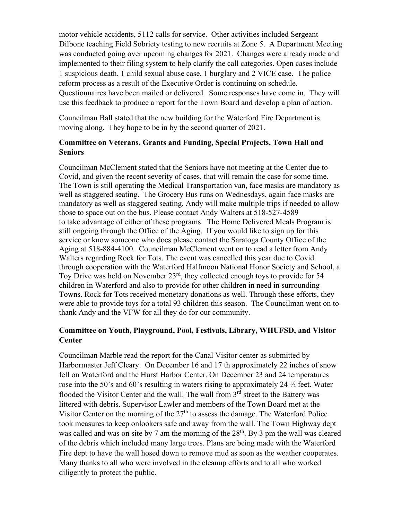motor vehicle accidents, 5112 calls for service. Other activities included Sergeant Dilbone teaching Field Sobriety testing to new recruits at Zone 5. A Department Meeting was conducted going over upcoming changes for 2021. Changes were already made and implemented to their filing system to help clarify the call categories. Open cases include 1 suspicious death, 1 child sexual abuse case, 1 burglary and 2 VICE case. The police reform process as a result of the Executive Order is continuing on schedule. Questionnaires have been mailed or delivered. Some responses have come in. They will use this feedback to produce a report for the Town Board and develop a plan of action.

Councilman Ball stated that the new building for the Waterford Fire Department is moving along. They hope to be in by the second quarter of 2021.

## **Committee on Veterans, Grants and Funding, Special Projects, Town Hall and Seniors**

Councilman McClement stated that the Seniors have not meeting at the Center due to Covid, and given the recent severity of cases, that will remain the case for some time. The Town is still operating the Medical Transportation van, face masks are mandatory as well as staggered seating. The Grocery Bus runs on Wednesdays, again face masks are mandatory as well as staggered seating, Andy will make multiple trips if needed to allow those to space out on the bus. Please contact Andy Walters at 518-527-4589 to take advantage of either of these programs. The Home Delivered Meals Program is still ongoing through the Office of the Aging. If you would like to sign up for this service or know someone who does please contact the Saratoga County Office of the Aging at 518-884-4100. Councilman McClement went on to read a letter from Andy Walters regarding Rock for Tots. The event was cancelled this year due to Covid. through cooperation with the Waterford Halfmoon National Honor Society and School, a Toy Drive was held on November 23rd, they collected enough toys to provide for 54 children in Waterford and also to provide for other children in need in surrounding Towns. Rock for Tots received monetary donations as well. Through these efforts, they were able to provide toys for a total 93 children this season. The Councilman went on to thank Andy and the VFW for all they do for our community.

## **Committee on Youth, Playground, Pool, Festivals, Library, WHUFSD, and Visitor Center**

Councilman Marble read the report for the Canal Visitor center as submitted by Harbormaster Jeff Cleary. On December 16 and 17 th approximately 22 inches of snow fell on Waterford and the Hurst Harbor Center. On December 23 and 24 temperatures rose into the 50's and 60's resulting in waters rising to approximately 24  $\frac{1}{2}$  feet. Water flooded the Visitor Center and the wall. The wall from 3<sup>rd</sup> street to the Battery was littered with debris. Supervisor Lawler and members of the Town Board met at the Visitor Center on the morning of the  $27<sup>th</sup>$  to assess the damage. The Waterford Police took measures to keep onlookers safe and away from the wall. The Town Highway dept was called and was on site by 7 am the morning of the  $28<sup>th</sup>$ . By 3 pm the wall was cleared of the debris which included many large trees. Plans are being made with the Waterford Fire dept to have the wall hosed down to remove mud as soon as the weather cooperates. Many thanks to all who were involved in the cleanup efforts and to all who worked diligently to protect the public.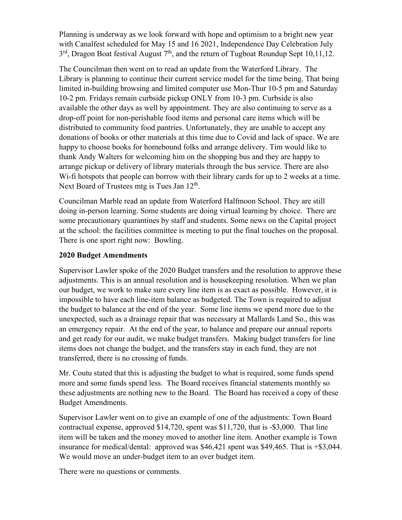Planning is underway as we look forward with hope and optimism to a bright new year with Canalfest scheduled for May 15 and 16 2021, Independence Day Celebration July  $3<sup>rd</sup>$ , Dragon Boat festival August  $7<sup>th</sup>$ , and the return of Tugboat Roundup Sept 10,11,12.

The Councilman then went on to read an update from the Waterford Library. The Library is planning to continue their current service model for the time being. That being limited in-building browsing and limited computer use Mon-Thur 10-5 pm and Saturday 10-2 pm. Fridays remain curbside pickup ONLY from 10-3 pm. Curbside is also available the other days as well by appointment. They are also continuing to serve as a drop-off point for non-perishable food items and personal care items which will be distributed to community food pantries. Unfortunately, they are unable to accept any donations of books or other materials at this time due to Covid and lack of space. We are happy to choose books for homebound folks and arrange delivery. Tim would like to thank Andy Walters for welcoming him on the shopping bus and they are happy to arrange pickup or delivery of library materials through the bus service. There are also W<sub>1</sub>-fi hotspots that people can borrow with their library cards for up to 2 weeks at a time. Next Board of Trustees mtg is Tues Jan  $12<sup>th</sup>$ .

Councilman Marble read an update from Waterford Halfmoon School. They are still doing in-person learning. Some students are doing virtual learning by choice. There are some precautionary quarantines by staff and students. Some news on the Capital project at the school: the facilities committee is meeting to put the final touches on the proposal. There is one sport right now: Bowling.

## **2020 Budget Amendments**

Supervisor Lawler spoke of the 2020 Budget transfers and the resolution to approve these adjustments. This is an annual resolution and is housekeeping resolution. When we plan our budget, we work to make sure every line item is as exact as possible. However, it is impossible to have each line-item balance as budgeted. The Town is required to adjust the budget to balance at the end of the year. Some line items we spend more due to the unexpected, such as a drainage repair that was necessary at Mallards Land So., this was an emergency repair. At the end of the year, to balance and prepare our annual reports and get ready for our audit, we make budget transfers. Making budget transfers for line items does not change the budget, and the transfers stay in each fund, they are not transferred, there is no crossing of funds.

Mr. Coutu stated that this is adjusting the budget to what is required, some funds spend more and some funds spend less. The Board receives financial statements monthly so these adjustments are nothing new to the Board. The Board has received a copy of these Budget Amendments.

Supervisor Lawler went on to give an example of one of the adjustments: Town Board contractual expense, approved \$14,720, spent was \$11,720, that is -\$3,000. That line item will be taken and the money moved to another line item. Another example is Town insurance for medical/dental: approved was \$46,421 spent was \$49,465. That is +\$3,044. We would move an under-budget item to an over budget item.

There were no questions or comments.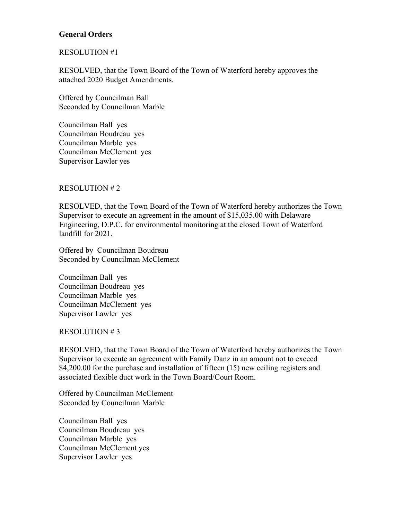## **General Orders**

## RESOLUTION #1

RESOLVED, that the Town Board of the Town of Waterford hereby approves the attached 2020 Budget Amendments.

Offered by Councilman Ball Seconded by Councilman Marble

Councilman Ball yes Councilman Boudreau yes Councilman Marble yes Councilman McClement yes Supervisor Lawler yes

## RESOLUTION # 2

RESOLVED, that the Town Board of the Town of Waterford hereby authorizes the Town Supervisor to execute an agreement in the amount of \$15,035.00 with Delaware Engineering, D.P.C. for environmental monitoring at the closed Town of Waterford landfill for 2021.

Offered by Councilman Boudreau Seconded by Councilman McClement

Councilman Ball yes Councilman Boudreau yes Councilman Marble yes Councilman McClement yes Supervisor Lawler yes

### RESOLUTION # 3

RESOLVED, that the Town Board of the Town of Waterford hereby authorizes the Town Supervisor to execute an agreement with Family Danz in an amount not to exceed \$4,200.00 for the purchase and installation of fifteen (15) new ceiling registers and associated flexible duct work in the Town Board/Court Room.

Offered by Councilman McClement Seconded by Councilman Marble

Councilman Ball yes Councilman Boudreau yes Councilman Marble yes Councilman McClement yes Supervisor Lawler yes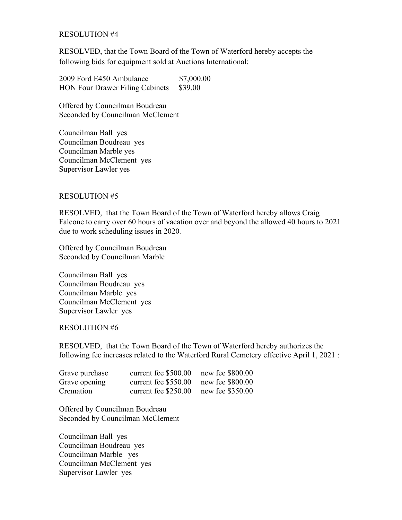## RESOLUTION #4

RESOLVED, that the Town Board of the Town of Waterford hereby accepts the following bids for equipment sold at Auctions International:

2009 Ford E450 Ambulance \$7,000.00 HON Four Drawer Filing Cabinets \$39.00

Offered by Councilman Boudreau Seconded by Councilman McClement

Councilman Ball yes Councilman Boudreau yes Councilman Marble yes Councilman McClement yes Supervisor Lawler yes

## RESOLUTION #5

RESOLVED, that the Town Board of the Town of Waterford hereby allows Craig Falcone to carry over 60 hours of vacation over and beyond the allowed 40 hours to 2021 due to work scheduling issues in 2020.

Offered by Councilman Boudreau Seconded by Councilman Marble

Councilman Ball yes Councilman Boudreau yes Councilman Marble yes Councilman McClement yes Supervisor Lawler yes

### RESOLUTION #6

RESOLVED, that the Town Board of the Town of Waterford hereby authorizes the following fee increases related to the Waterford Rural Cemetery effective April 1, 2021 :

| Grave purchase | current fee \$500.00 | new fee \$800.00 |
|----------------|----------------------|------------------|
| Grave opening  | current fee \$550.00 | new fee \$800.00 |
| Cremation      | current fee \$250.00 | new fee \$350.00 |

Offered by Councilman Boudreau Seconded by Councilman McClement

Councilman Ball yes Councilman Boudreau yes Councilman Marble yes Councilman McClement yes Supervisor Lawler yes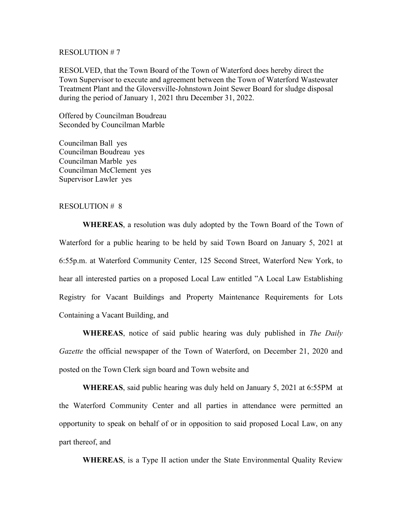#### RESOLUTION # 7

RESOLVED, that the Town Board of the Town of Waterford does hereby direct the Town Supervisor to execute and agreement between the Town of Waterford Wastewater Treatment Plant and the Gloversville-Johnstown Joint Sewer Board for sludge disposal during the period of January 1, 2021 thru December 31, 2022.

Offered by Councilman Boudreau Seconded by Councilman Marble

Councilman Ball yes Councilman Boudreau yes Councilman Marble yes Councilman McClement yes Supervisor Lawler yes

#### RESOLUTION # 8

**WHEREAS**, a resolution was duly adopted by the Town Board of the Town of Waterford for a public hearing to be held by said Town Board on January 5, 2021 at 6:55p.m. at Waterford Community Center, 125 Second Street, Waterford New York, to hear all interested parties on a proposed Local Law entitled "A Local Law Establishing Registry for Vacant Buildings and Property Maintenance Requirements for Lots Containing a Vacant Building, and

**WHEREAS**, notice of said public hearing was duly published in *The Daily Gazette* the official newspaper of the Town of Waterford, on December 21, 2020 and posted on the Town Clerk sign board and Town website and

**WHEREAS**, said public hearing was duly held on January 5, 2021 at 6:55PM at the Waterford Community Center and all parties in attendance were permitted an opportunity to speak on behalf of or in opposition to said proposed Local Law, on any part thereof, and

**WHEREAS**, is a Type II action under the State Environmental Quality Review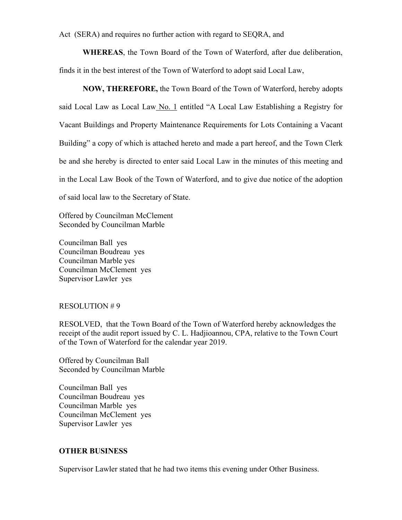Act (SERA) and requires no further action with regard to SEQRA, and

**WHEREAS**, the Town Board of the Town of Waterford, after due deliberation, finds it in the best interest of the Town of Waterford to adopt said Local Law,

 **NOW, THEREFORE,** the Town Board of the Town of Waterford, hereby adopts said Local Law as Local Law No. 1 entitled "A Local Law Establishing a Registry for Vacant Buildings and Property Maintenance Requirements for Lots Containing a Vacant Building" a copy of which is attached hereto and made a part hereof, and the Town Clerk be and she hereby is directed to enter said Local Law in the minutes of this meeting and in the Local Law Book of the Town of Waterford, and to give due notice of the adoption of said local law to the Secretary of State.

Offered by Councilman McClement Seconded by Councilman Marble

Councilman Ball yes Councilman Boudreau yes Councilman Marble yes Councilman McClement yes Supervisor Lawler yes

### RESOLUTION # 9

RESOLVED, that the Town Board of the Town of Waterford hereby acknowledges the receipt of the audit report issued by C. L. Hadjioannou, CPA, relative to the Town Court of the Town of Waterford for the calendar year 2019.

Offered by Councilman Ball Seconded by Councilman Marble

Councilman Ball yes Councilman Boudreau yes Councilman Marble yes Councilman McClement yes Supervisor Lawler yes

## **OTHER BUSINESS**

Supervisor Lawler stated that he had two items this evening under Other Business.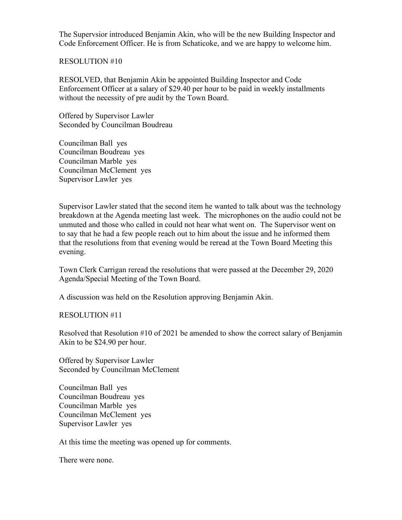The Supervsior introduced Benjamin Akin, who will be the new Building Inspector and Code Enforcement Officer. He is from Schaticoke, and we are happy to welcome him.

## RESOLUTION #10

RESOLVED, that Benjamin Akin be appointed Building Inspector and Code Enforcement Officer at a salary of \$29.40 per hour to be paid in weekly installments without the necessity of pre audit by the Town Board.

Offered by Supervisor Lawler Seconded by Councilman Boudreau

Councilman Ball yes Councilman Boudreau yes Councilman Marble yes Councilman McClement yes Supervisor Lawler yes

Supervisor Lawler stated that the second item he wanted to talk about was the technology breakdown at the Agenda meeting last week. The microphones on the audio could not be unmuted and those who called in could not hear what went on. The Supervisor went on to say that he had a few people reach out to him about the issue and he informed them that the resolutions from that evening would be reread at the Town Board Meeting this evening.

Town Clerk Carrigan reread the resolutions that were passed at the December 29, 2020 Agenda/Special Meeting of the Town Board.

A discussion was held on the Resolution approving Benjamin Akin.

## RESOLUTION #11

Resolved that Resolution #10 of 2021 be amended to show the correct salary of Benjamin Akin to be \$24.90 per hour.

Offered by Supervisor Lawler Seconded by Councilman McClement

Councilman Ball yes Councilman Boudreau yes Councilman Marble yes Councilman McClement yes Supervisor Lawler yes

At this time the meeting was opened up for comments.

There were none.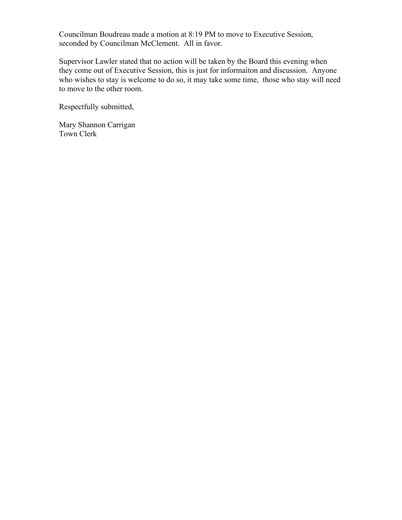Councilman Boudreau made a motion at 8:19 PM to move to Executive Session, seconded by Councilman McClement. All in favor.

Supervisor Lawler stated that no action will be taken by the Board this evening when they come out of Executive Session, this is just for informaiton and discussion. Anyone who wishes to stay is welcome to do so, it may take some time, those who stay will need to move to the other room.

Respectfully submitted,

Mary Shannon Carrigan Town Clerk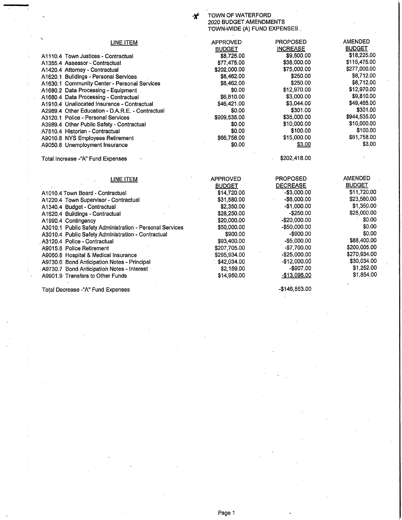ぞ

# TOWN OF WATERFORD<br>2020 BUDGET AMENDMENTS<br>TOWN-WIDE (A) FUND EXPENSES

| $\mathbf{t}_\mathbf{s}$<br><b>LINE ITEM</b>              | <b>APPROVED</b> | <b>PROPOSED</b> | <b>AMENDED</b> |
|----------------------------------------------------------|-----------------|-----------------|----------------|
|                                                          | <b>BUDGET</b>   | <b>INCREASE</b> | <b>BUDGET</b>  |
| A1110.4 Town Justices - Contractual                      | \$8,725.00      | \$9,500.00      | \$18,225.00    |
| A1355.4 Assessor - Contractual                           | \$77,475.00     | \$38,000.00     | \$115,475.00   |
| A1420.4 Attorney - Contractual                           | \$202,000.00    | \$75,000.00     | \$277,000.00   |
| A1620.1 Buildings - Personal Services                    | \$8,462.00      | \$250.00        | \$8,712.00     |
| A1630.1 Community Center - Personal Services             | \$8,462.00      | \$250.00        | \$8,712.00     |
| A1680.2 Data Processing - Equipment                      | \$0.00          | \$12,970.00     | \$12,970.00    |
| A1680.4 Data Processing - Contractual                    | \$6,810.00      | \$3,000.00      | \$9,810.00     |
| A1910.4 Unallocated Insurance - Contractual              | \$46,421.00     | \$3,044.00      | \$49,465.00    |
| A2989.4 Other Education - D.A.R.E. - Contractual         | \$0.00          | \$301.00        | \$301.00       |
| A3120.1 Police - Personal Services                       | \$909,535.00    | \$35,000.00     | \$944,535.00   |
| A3989.4 Other Public Safety - Contractual                | \$0.00          | \$10,000.00     | \$10,000.00    |
| A7510.4 Historian - Contractual                          | \$0.00          | \$100.00        | \$100.00       |
| A9010.8 NYS Employees Retirement                         | \$66,758.00     | \$15,000.00     | \$81,758.00    |
| A9050.8 Unemployment Insurance                           | \$0.00          | \$3.00          | \$3.00         |
| Total Increase -"A" Fund Expenses                        |                 | \$202,418.00    |                |
|                                                          |                 |                 | <b>AMENDED</b> |
| <b>LINE ITEM</b>                                         | <b>APPROVED</b> | <b>PROPOSED</b> | <b>BUDGET</b>  |
|                                                          | <b>BUDGET</b>   | <b>DECREASE</b> | \$11,720.00    |
| A1010.4 Town Board - Contractual                         | \$14,720.00     | $-$3,000.00$    | \$23,580.00    |
| A1220.4 Town Supervisor - Contractual                    | \$31,580.00     | -\$8,000.00     | \$1,350.00     |
| A1340.4 Budget - Contractual                             | \$2,350.00      | $-$1,000.00$    |                |
| A1620.4 Buildings - Contractual                          | \$28,250.00     | $-$250.00$      | \$28,000.00    |
| A1990.4 Contingency                                      | \$20,000.00     | $-$20,000.00$   | \$0.00         |
| A3010.1 Public Safety Administration - Personal Services | \$50,000.00     | $-$50,000.00$   | \$0.00         |
| A3010.4 Public Safety Administration - Contractual       | \$900,00        | $-$900.00$      | \$0.00         |
| A3120.4 Police - Contractual                             | \$93,400.00     | $-$5,000.00$    | \$88,400.00    |
| A9015.8 Police Retirement                                | \$207.705.00    | -\$7,700.00     | \$200,005.00   |
| A9060.8 Hospital & Medical Insurance                     | \$295,934.00    | $-$ \$25,000.00 | \$270,934.00   |
| A9730.6 Bond Anticipation Notes - Principal              | \$42,034.00     | $-$12,000.00$   | \$30,034.00    |
| A9730.7 Bond Anticipation Notes - Interest               | \$2,159.00      | $-$907.00$      | \$1,252.00     |
| A9901.9 Transfers to Other Funds                         | \$14,950,00     | $-$13,096.00$   | \$1,854.00     |

A9901.9 Transfers to Other Funds

Total Decrease -"A" Fund Expenses

-\$146,853.00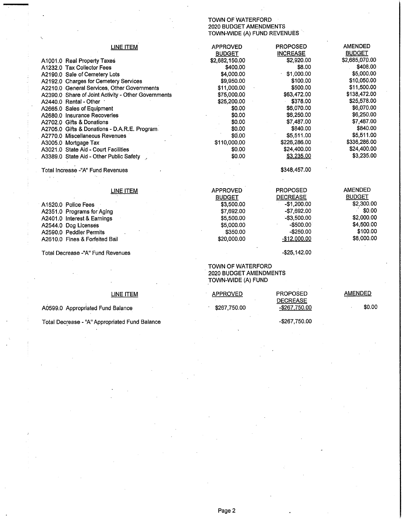## TOWN OF WATERFORD 2020 BUDGET AMENDMENTS<br>TOWN-WIDE (A) FUND REVENUES

 $-$ \$267,750.00

| <b>LINE ITEM</b>                                    | <b>APPROVED</b>               | <b>PROPOSED</b> | <b>AMENDED</b> |
|-----------------------------------------------------|-------------------------------|-----------------|----------------|
|                                                     | <b>BUDGET</b>                 | <b>INCREASE</b> | <b>BUDGET</b>  |
| A1001.0 Real Property Taxes                         | \$2,682,150.00                | \$2,920.00      | \$2,685,070.00 |
| A1232.0 Tax Collector Fees                          | \$400.00                      | \$8.00          | \$408.00       |
| A2190.0 Sale of Cemetery Lots                       | \$4,000.00                    | \$1,000.00      | \$5,000.00     |
| A2192.0 Charges for Cemetery Services               | \$9,950.00                    | \$100.00        | \$10,050.00    |
| A2210.0 General Services, Other Governments         | \$11,000.00                   | \$500.00        | \$11,500.00    |
| A2390.0 Share of Joint Activity - Other Governments | \$75,000.00                   | \$63,472.00     | \$138,472.00   |
| A2440.0 Rental - Other                              | \$25,200.00                   | \$378.00        | \$25,578.00    |
| A2665.0 Sales of Equipment                          | \$0.00                        | \$6,070.00      | \$6,070.00     |
| A2680.0 Insurance Recoveries                        | \$0.00                        | \$6,250.00      | \$6,250.00     |
| A2702.0 Gifts & Donations                           | \$0.00                        | \$7,487.00      | \$7,487.00     |
| A2705.0 Gifts & Donations - D.A.R.E. Program.       | \$0.00                        | \$840.00        | \$840.00       |
| A2770.0 Miscellaneous Revenues                      | \$0.00                        | \$5,511.00      | \$5,511.00     |
| A3005.0 Mortgage Tax                                | \$110,000.00                  | \$226,286.00    | \$336,286.00   |
| A3021.0 State Aid - Court Facilities                | \$0.00                        | \$24,400.00     | \$24,400.00    |
| A3389.0 State Aid - Other Public Safety             | \$0.00                        | \$3,235.00      | \$3,235.00     |
|                                                     |                               |                 |                |
| Total Increase -"A" Fund Revenues                   |                               | \$348,457.00    |                |
|                                                     |                               |                 |                |
|                                                     |                               |                 |                |
| LINE ITEM                                           | <b>APPROVED</b>               | <b>PROPOSED</b> | <b>AMENDED</b> |
|                                                     | <b>BUDGET</b>                 | <b>DECREASE</b> | <b>BUDGET</b>  |
| A <sub>1520.0</sub> Police Fees                     | \$3,500.00                    | $-$1,200.00$    | \$2,300.00     |
| A2351.0 Programs for Aging                          | \$7,692.00                    | -\$7,692.00     | \$0.00         |
| A2401.0 Interest & Earnings                         | \$5,500.00                    | $-$3,500.00$    | \$2,000.00     |
| A2544.0 Dog Licenses                                | \$5,000.00                    | $-$500.00$      | \$4,500.00     |
| A2590.0 Peddler Permits                             | \$350.00                      | $-$250.00$      | \$100.00       |
|                                                     | \$20,000.00                   | $-$12,000.00$   | \$8,000.00     |
| A2610.0 Fines & Forfeited Bail                      |                               |                 |                |
| Total Decrease -"A" Fund Revenues                   |                               | $-$ \$25,142.00 |                |
|                                                     |                               |                 |                |
|                                                     | TOWN OF WATERFORD             |                 |                |
|                                                     | <b>2020 BUDGET AMENDMENTS</b> |                 |                |
|                                                     | TOWN-WIDE (A) FUND            |                 |                |
|                                                     |                               |                 |                |
|                                                     | <b>APPROVED</b>               | <b>PROPOSED</b> | <b>AMENDED</b> |
| LINE ITEM                                           |                               | <b>DECREASE</b> |                |
|                                                     |                               |                 | \$0.00         |
| A0599.0 Appropriated Fund Balance                   | \$267,750.00                  | -\$267,750.00   |                |

A0599.0 Appropriated Fund Balance

Total Decrease - "A" Appropriated Fund Balance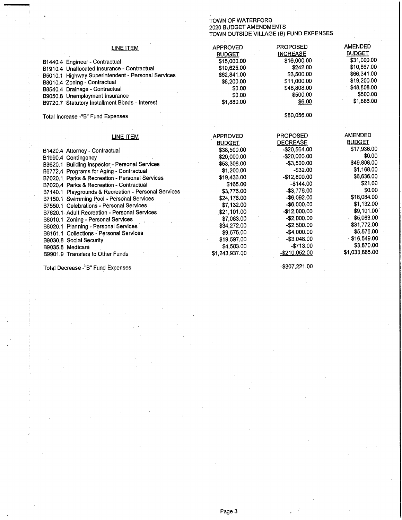# TOWN OF WATERFORD<br>2020 BUDGET AMENDMENTS<br>TOWN OUTSIDE VILLAGE (B) FUND EXPENSES

| LINE ITEM                                            | <b>APPROVED</b> | <b>PROPOSED</b> | <b>AMENDED</b> |
|------------------------------------------------------|-----------------|-----------------|----------------|
|                                                      | <b>BUDGET</b>   | <b>INCREASE</b> | <b>BUDGET</b>  |
| B1440.4 Engineer - Contractual                       | \$15,000.00     | \$16,000.00     | \$31,000.00    |
| B1910.4 Unallocated Insurance - Contractual          | \$10,625.00     | \$242.00        | \$10,867.00    |
| B5010.1 Highway Superintendent - Personal Services   | \$62,841.00     | \$3,500.00      | \$66,341.00    |
| B8010.4 Zoning - Contractual                         | \$8,200.00      | \$11,000.00     | \$19,200.00    |
| B8540.4 Drainage - Contractual.                      | \$0.00          | \$48,808.00     | \$48,808.00    |
| B9050.8 Unemployment Insurance                       | \$0.00          | \$500.00        | \$500.00       |
| B9720.7 Statutory Installment Bonds - Interest       | \$1,880.00      | \$6.00          | \$1,886.00     |
| Total Increase -"B" Fund Expenses                    |                 | \$80,056.00     |                |
|                                                      |                 |                 |                |
| LINE ITEM                                            | <b>APPROVED</b> | PROPOSED        | <b>AMENDED</b> |
|                                                      | <b>BUDGET</b>   | <b>DECREASE</b> | <b>BUDGET</b>  |
| B1420.4 Attorney - Contractual                       | \$38,500,00     | -\$20,564.00    | \$17,936.00    |
| B1990.4 Contingency                                  | \$20,000.00     | $-$20,000.00$   | \$0.00         |
| B3620.1 Building Inspector - Personal Services       | \$53,308.00     | $-$3,500.00$    | \$49,808.00    |
| B6772.4 Programs for Aging - Contractual             | \$1,200.00      | $-$ \$32.00     | \$1,168.00     |
| B7020.1 Parks & Recreation - Personal Services       | \$19,436.00     | $-$ \$12,800.00 | \$6,636.00     |
| B7020.4 Parks & Recreation - Contractual             | \$165.00        | $-$144.00$      | \$21.00        |
| B7140.1 Playgrounds & Recreation - Personal Services | \$3,776.00      | $-$3.776.00$    | \$0.00         |
| B7150.1 Swimming Pool - Personal Services            | \$24,176.00     | $-$6.092.00$    | \$18,084.00    |
| B7550.1 Celebrations - Personal Services             | \$7,132.00      | $-$ \$6,000.00  | \$1,132.00     |
| B7620.1 Adult Recreation - Personal Services         | \$21,101.00     | -\$12,000.00    | \$9,101.00     |
| B8010.1 Zoning - Personal Services                   | \$7,083.00      | $-$2,000.00$    | \$5,083.00     |
| B8020.1 Planning - Personal Services                 | \$34,272.00     | $-$2,500.00$    | \$31,772.00    |
| B8161.1 Collections - Personal Services              | \$9,575.00      | $-$4,000.00$    | \$5,575.00     |
| B9030,8 Social Security                              | \$19,597.00     | $-$3.048.00$    | \$16,549.00    |
| B9035.8 Medicare                                     | \$4,583.00      | $-$713.00$      | \$3,870.00     |
| B9901.9 Transfers to Other Funds                     | \$1,243,937.00  | $-$210,052.00$  | \$1,033,885.00 |
|                                                      |                 |                 |                |

Total Decrease -"B" Fund Expenses

-\$307,221.00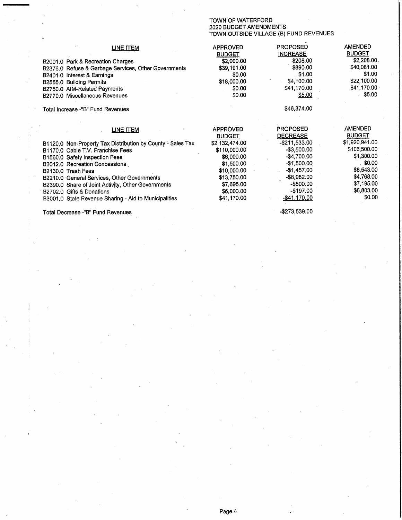# TOWN OF WATERFORD<br>2020 BUDGET AMENDMENTS<br>TOWN OUTSIDE VILLAGE (B) FUND REVENUES

| LINE ITEM<br>B2001.0 Park & Recreation Charges<br>B2376.0 Refuse & Garbage Services, Other Governments<br>B2401.0 Interest & Earnings<br>B2555.0 Building Permits<br>B2750.0 AIM-Related Payments<br>B2770.0 Miscellaneous Revenues | <b>APPROVED</b><br><b>BUDGET</b><br>\$2,000.00<br>\$39,191.00<br>\$0.00<br>\$18,000.00<br>\$0.00<br>\$0.00 | <b>PROPOSED</b><br><b>INCREASE</b><br>\$208.00<br>\$890.00<br>\$1.00<br>\$4,100.00<br>\$41,170.00<br>\$5.00 | AMENDED<br><b>BUDGET</b><br>\$2,208.00<br>\$40,081.00<br>\$1.00<br>\$22,100.00<br>\$41,170.00<br>\$5.00 |
|-------------------------------------------------------------------------------------------------------------------------------------------------------------------------------------------------------------------------------------|------------------------------------------------------------------------------------------------------------|-------------------------------------------------------------------------------------------------------------|---------------------------------------------------------------------------------------------------------|
| Total Increase -"B" Fund Revenues                                                                                                                                                                                                   |                                                                                                            | \$46,374.00                                                                                                 |                                                                                                         |
| <b>LINE ITEM</b>                                                                                                                                                                                                                    | <b>APPROVED</b><br><b>BUDGET</b>                                                                           | <b>PROPOSED</b><br><b>DECREASE</b>                                                                          | <b>AMENDED</b><br><b>BUDGET</b>                                                                         |
| B1120.0 Non-Property Tax Distribution by County - Sales Tax<br>B1170.0 Cable T.V. Franchise Fees                                                                                                                                    | \$2,132,474.00<br>\$110,000.00                                                                             | $-$ \$211,533.00<br>$-$3,500.00$                                                                            | \$1,920,941.00<br>\$106,500.00                                                                          |
| B1560.0 Safety Inspection Fees                                                                                                                                                                                                      | \$6,000.00                                                                                                 | -\$4,700.00                                                                                                 | \$1,300.00                                                                                              |
| B2012.0 Recreation Concessions                                                                                                                                                                                                      | \$1,500.00                                                                                                 | $-$ \$1,500.00                                                                                              | . \$0.00                                                                                                |
| B2130.0 Trash Fees                                                                                                                                                                                                                  | \$10,000.00                                                                                                | $-$1,457.00$                                                                                                | \$8,543.00                                                                                              |
| B2210.0 General Services, Other Governments                                                                                                                                                                                         | \$13,750.00                                                                                                | $-$ \$8,982.00                                                                                              | \$4,768.00                                                                                              |
| B2390.0 Share of Joint Activity, Other Governments                                                                                                                                                                                  | \$7,695.00                                                                                                 | $-$500.00$                                                                                                  | \$7,195.00                                                                                              |
| B2702.0 Gifts & Donations                                                                                                                                                                                                           | \$6,000.00                                                                                                 | -\$197.00                                                                                                   | \$5,803.00                                                                                              |
| B3001.0 State Revenue Sharing - Aid to Municipalities                                                                                                                                                                               | \$41,170.00                                                                                                | -\$41,170.00                                                                                                | \$0.00                                                                                                  |
| Total Decrease -"B" Fund Revenues                                                                                                                                                                                                   |                                                                                                            | -\$273,539.00                                                                                               |                                                                                                         |

Total Decrease -"B" Fund Revenues

Page 4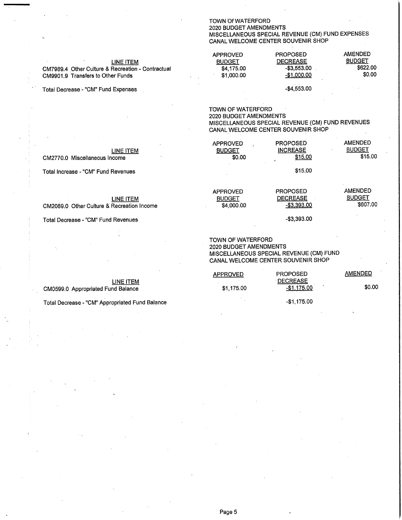#### **TOWN Of WATERFORD** 2020 BUDGET AMENDMENTS MISCELLANEOUS SPECIAL REVENUE (CM) FUND EXPENSES CANAL WELCOME CENTER SOUVENIR SHOP

 $-$4,553.00$ 

| LINE ITEM<br>CM7989.4 Other Culture & Recreation - Contractual<br>CM9901.9 Transfers to Other Funds | <b>APPROVED</b><br><b>BUDGET</b><br>\$4.175.00<br>\$1.000.00 | <b>PROPOSED</b><br><b>DECREASE</b><br>$-$ \$3.553.00<br>-\$1,000.00 | AMENDED<br><b>BUDGET</b><br>\$622.00<br>\$0.00 |
|-----------------------------------------------------------------------------------------------------|--------------------------------------------------------------|---------------------------------------------------------------------|------------------------------------------------|
|                                                                                                     |                                                              |                                                                     |                                                |

Total Decrease - "CM" Fund Expenses

TOWN OF WATERFORD 2020 BUDGET AMENDMENTS MISCELLANEOUS SPECIAL REVENUE (CM) FUND REVENUES CANAL WELCOME CENTER SOUVENIR SHOP

| LINE ITEM<br>CM2770.0 Miscellaneous Income | <b>APPROVED</b><br><b>BUDGET</b><br>\$0.00 | <b>PROPOSED</b><br><b>INCREASE</b><br>\$15.00 | <b>AMENDED</b><br><b>BUDGET</b><br>\$15.00 |
|--------------------------------------------|--------------------------------------------|-----------------------------------------------|--------------------------------------------|
| Total Increase - "CM" Fund Revenues        |                                            | \$15.00                                       |                                            |

APPROVED

**BUDGET** 

\$4,000.00

#### **LINE ITEM**

**LINE ITEM** 

CM2089.0 Other Culture & Recreation Income

Total Decrease - "CM" Fund Revenues

CM0599.0 Appropriated Fund Balance

#### TOWN OF WATERFORD 2020 BUDGET AMENDMENTS MISCELLANEOUS SPECIAL REVENUE (CM) FUND CANAL WELCOME CENTER SOUVENIR SHOP

**PROPOSED** 

**DECREASE** 

 $-$3,393.00$ 

 $-$3,393.00$ 

**AMENDED** 

**BUDGET** 

**AMENDED** 

\$0.00

\$607.00

| APPROVED   | <b>PROPOSED</b>                      |
|------------|--------------------------------------|
| \$1.175.00 | <b>DECREASE</b><br>٠<br>$-$1,175.00$ |
| ٠          | -\$1,175.00                          |

Total Decrease - "CM" Appropriated Fund Balance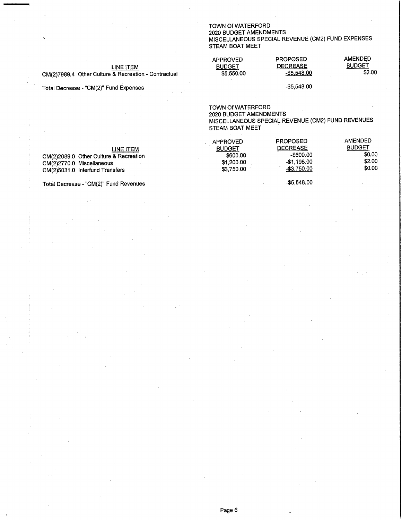#### **TOWN Of WATERFORD** 2020 BUDGET AMENDMENTS MISCELLANEOUS SPECIAL REVENUE (CM2) FUND EXPENSES

## STEAM BOAT MEET

| <b>APPROVED</b> | <b>PROPOSED</b> | <b>AMENDED</b> |
|-----------------|-----------------|----------------|
| <b>BUDGET</b>   | <b>DECREASE</b> | <b>BUDGET</b>  |
| \$5,550.00      | -\$5.548.00     | \$2.00         |
|                 |                 |                |

Total Decrease - "CM(2)" Fund Expenses

**LINE ITEM** 

CM(2)7989.4 Other Culture & Recreation - Contractual

 $-$5,548.00$ 

 $-$5,548.00$ 

TOWN Of WATERFORD 2020 BUDGET AMENDMENTS MISCELLANEOUS SPECIAL REVENUE (CM2) FUND REVENUES STEAM BOAT MEET

|                                        | APPROVED      | <b>PROPOSED</b> | <b>AMENDED</b> |
|----------------------------------------|---------------|-----------------|----------------|
| LINE ITEM                              | <b>BUDGET</b> | <b>DECREASE</b> | <b>BUDGET</b>  |
| CM(2)2089.0 Other Culture & Recreation | \$600.00      | -\$600.00       | \$0.00         |
| CM(2)2770.0 Miscellaneous              | \$1,200,00    | $-$1.198.00$    | \$2.00         |
| CM(2)5031.0 Interfund Transfers        | \$3,750,00    | -\$3,750.00     | \$0.00         |
|                                        |               |                 |                |

Total Decrease - "CM(2)" Fund Revenues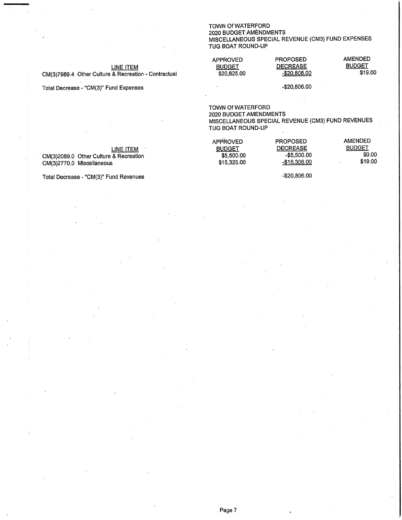#### TOWN Of WATERFORD 2020 BUDGET AMÈNDMENTS MISCELLANEOUS SPECIAL REVENUE (CM3) FUND EXPENSES TUG BOAT ROUND-UP

#### **LINE ITEM**

CM(3)7989.4 Other Culture & Recreation - Contractual

Total Decrease - "CM(3)" Fund Expenses

**APPROVED BUDGET**  $$20,825.00$  **PROPOSED DECREASE**  $-$20,806.00$  **AMENDED BUDGET** \$19.00

-\$20,806.00

**TOWN Of WATERFORD** 2020 BUDGET AMENDMENTS MISCELLANEOUS SPECIAL REVENUE (CM3) FUND REVENUES TUG BOAT ROUND-UP

**AMENDED APPROVED** PROPOSED **BUDGET DECREASE BUDGET LINE ITEM**  $$5,500.00$  $-$5,500.00$ \$0.00 CM(3)2089.0 Other Culture & Recreation \$15,325.00 -\$15,306.00 \$19.00 CM(3)2770.0 Miscellaneous

-\$20,806.00

Total Decrease - "CM(3)" Fund Revenues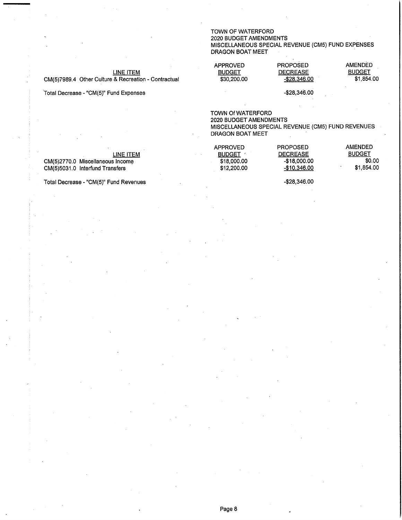TOWN OF WATERFORD

#### 2020 BUDGET AMENDMENTS MISCELLANEOUS SPECIAL REVENUE (CM5) FUND EXPENSES DRAGON BOAT MEET

#### **LINE ITEM**

CM(5)7989.4 Other Culture & Recreation - Contractual

Total Decrease - "CM(5)" Fund Expenses

#### APPROVED PROPOSED AMENDED **BUDGET BUDGET DECREASE** \$30,200.00  $-$28,346.00$  $$1,854.00$

 $-$ \$28,346.00

TOWN Of WATERFORD

2020 BUDGET AMENDMENTS MISCELLANEOUS SPECIAL REVENUE (CM5) FUND REVENUES DRAGON BOAT MEET

 $-$28,346.00$ 

| LINE ITEM                        | APPROVED<br><b>BUDGET</b> | <b>PROPOSED</b><br><b>DECREASE</b> | AMENDED<br><b>BUDGET</b> |
|----------------------------------|---------------------------|------------------------------------|--------------------------|
| CM(5)2770.0 Miscellaneous Income | \$18,000.00               | -\$18.000.00                       | \$0.00                   |
| CM(5)5031.0 Interfund Transfers  | \$12,200.00               | -\$10.346.00                       | \$1,854.00               |

Total Decrease - "CM(5)" Fund Revenues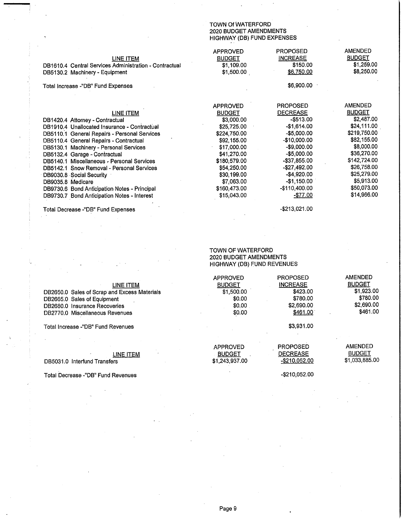#### TOWN Of WATERFORD 2020 BUDGET AMENDMENTS HIGHWAY (DB) FUND EXPENSES

| LINE ITEM<br>DB1610.4 Central Services Administration - Contractual<br>DB5130.2 Machinery - Equipment | <b>APPROVED</b><br><b>BUDGET</b><br>\$1,109.00<br>\$1,500.00 | <b>PROPOSED</b><br><b>INCREASE</b><br>\$150.00<br>\$6,750.00 | <b>AMENDED</b><br><b>BUDGET</b><br>\$1,259.00<br>\$8,250.00 |
|-------------------------------------------------------------------------------------------------------|--------------------------------------------------------------|--------------------------------------------------------------|-------------------------------------------------------------|
| Total Increase -"DB" Fund Expenses                                                                    |                                                              | \$6,900.00                                                   |                                                             |
|                                                                                                       |                                                              |                                                              | <b>AMENDED</b>                                              |
| LINE ITEM                                                                                             | <b>APPROVED</b><br><b>BUDGET</b>                             | <b>PROPOSED</b><br><b>DECREASE</b>                           | <b>BUDGET</b>                                               |
| DB1420.4 Attorney - Contractual                                                                       | \$3,000.00                                                   | $-$ \$513.00                                                 | \$2,487.00                                                  |
| DB1910.4 Unallocated Insurance - Contractual                                                          | \$25,725.00                                                  | $-$1,614.00$                                                 | \$24,111.00                                                 |
| DB5110.1 General Repairs - Personal Services                                                          | \$224,750.00                                                 | $-$5,000.00$                                                 | \$219,750.00                                                |
| DB5110.4 General Repairs - Contractual                                                                | \$92,155.00                                                  | $-$10,000.00$                                                | \$82,155.00                                                 |
| DB5130.1 Machinery - Personal Services                                                                | \$17,000.00                                                  | $-$9,000.00$                                                 | \$8,000.00                                                  |
| DB5132.4 Garage - Contractual                                                                         | \$41,270.00                                                  | $-$5,000.00$                                                 | \$36,270.00                                                 |
| DB5140.1 Miscellaneous - Personal Services                                                            | \$180,579.00                                                 | -\$37,855.00                                                 | \$142,724.00                                                |
| DB5142.1 Snow Removal - Personal Services                                                             | \$54,250.00                                                  | -\$27,492.00                                                 | \$26,758.00                                                 |
| DB9030.8 Social Security                                                                              | \$30,199.00                                                  | $-$4,920.00$                                                 | \$25,279.00                                                 |
| DB9035.8 Medicare                                                                                     | \$7,063.00                                                   | $-$1,150.00$                                                 | \$5,913.00                                                  |
| DB9730.6 Bond Anticipation Notes - Principal                                                          | \$160,473.00                                                 | -\$110,400.00                                                | \$50,073.00                                                 |
| DB9730.7 Bond Anticipation Notes - Interest                                                           | \$15,043.00                                                  | $-$ \$77.00                                                  | \$14,966.00                                                 |
|                                                                                                       |                                                              |                                                              |                                                             |

Total Decrease -"DB" Fund Expenses

#### TOWN OF WATERFORD 2020 BUDGET AMENDMENTS HIGHWAY (DB) FUND REVENUES

| LINE ITEM<br>DB2650.0 Sales of Scrap and Excess Materials<br>DB2665.0 Sales of Equipment<br>DB2680.0 Insurance Recoveries<br>DB2770.0 Miscellaneous Revenues | <b>APPROVED</b><br><b>BUDGET</b><br>\$1,500.00<br>\$0.00<br>\$0.00<br>\$0.00 | <b>PROPOSED</b><br><b>INCREASE</b><br>\$423.00<br>\$780.00<br>\$2,690.00<br>\$461.00 | <b>AMENDED</b><br><b>BUDGET</b><br>\$1,923.00<br>\$780.00<br>\$2,690.00<br>\$461.00 |
|--------------------------------------------------------------------------------------------------------------------------------------------------------------|------------------------------------------------------------------------------|--------------------------------------------------------------------------------------|-------------------------------------------------------------------------------------|
| Total Increase -"DB" Fund Revenues                                                                                                                           |                                                                              | \$3.931.00                                                                           |                                                                                     |

APPROVED

**BUDGET** 

\$1,243,937.00

Total Increase -"DB" Fund Revenues

### **LINE ITEM**

DB5031.0 Interfund Transfers

Total Decrease -"DB" Fund Revenues

AMENDED

-\$210,052.00

 $-$210,052.00$ 

 $\sim$ 

PROPOSED<br>DECREASE

 $-$ \$213,021.00

**BUDGET** \$1,033,885.00